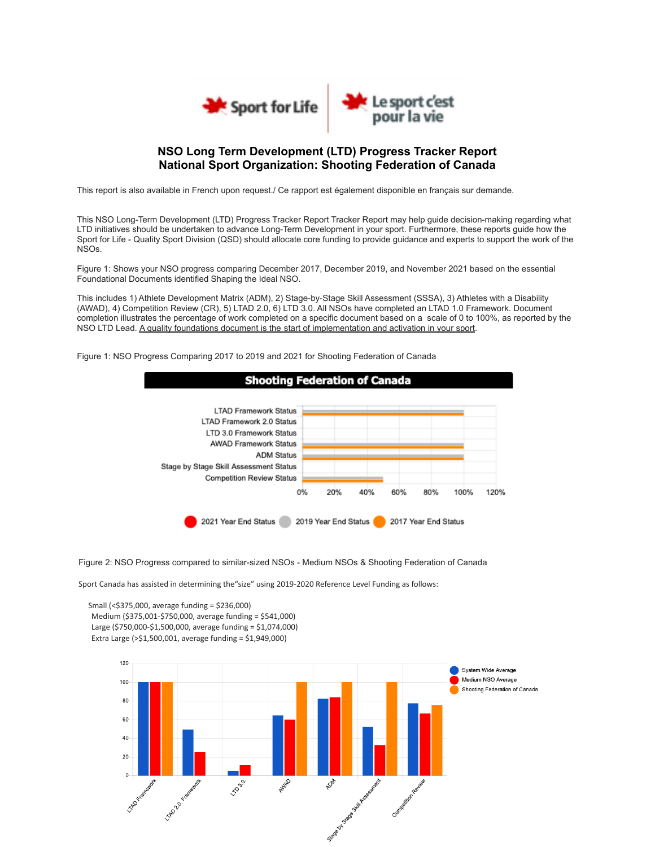

## **NSO Long Term Development (LTD) Progress Tracker Report National Sport Organization: Shooting Federation of Canada**

This report is also available in French upon request./ Ce rapport est également disponible en français sur demande.

This NSO Long-Term Development (LTD) Progress Tracker Report Tracker Report may help guide decision-making regarding what LTD initiatives should be undertaken to advance Long-Term Development in your sport. Furthermore, these reports guide how the Sport for Life - Quality Sport Division (QSD) should allocate core funding to provide guidance and experts to support the work of the NSOs.

Figure 1: Shows your NSO progress comparing December 2017, December 2019, and November 2021 based on the essential Foundational Documents identified Shaping the Ideal NSO.

This includes 1) Athlete Development Matrix (ADM), 2) Stage-by-Stage Skill Assessment (SSSA), 3) Athletes with a Disability (AWAD), 4) Competition Review (CR), 5) LTAD 2.0, 6) LTD 3.0. All NSOs have completed an LTAD 1.0 Framework. Document completion illustrates the percentage of work completed on a specific document based on a scale of 0 to 100%, as reported by the NSO LTD Lead. A quality foundations document is the start of implementation and activation in your sport.

Figure 1: NSO Progress Comparing 2017 to 2019 and 2021 for Shooting Federation of Canada



Figure 2: NSO Progress compared to similar-sized NSOs - Medium NSOs & Shooting Federation of Canada

Sport Canada has assisted in determining the"size" using 2019-2020 Reference Level Funding as follows:

Small (<\$375,000, average funding = \$236,000) Medium (\$375,001-\$750,000, average funding = \$541,000) Large (\$750,000-\$1,500,000, average funding = \$1,074,000) Extra Large (>\$1,500,001, average funding = \$1,949,000)